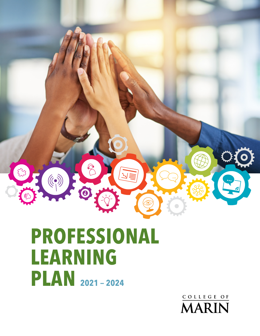

# **PROFESSIONAL LEARNING PLAN 2021 — 2024**

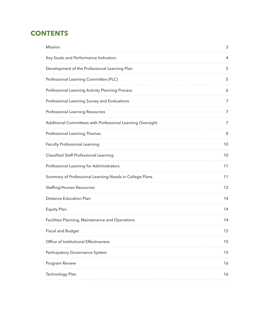# **CONTENTS**

| <b>Mission</b>                                             | 3                 |
|------------------------------------------------------------|-------------------|
| Key Goals and Performance Indicators                       | 4                 |
| Development of the Professional Learning Plan              | 5                 |
| Professional Learning Committee (PLC)                      | 5                 |
| Professional Learning Activity Planning Process            | 6                 |
| Professional Learning Survey and Evaluations               | 7                 |
| <b>Professional Learning Resources</b>                     | 7                 |
| Additional Committees with Professional Learning Oversight | 7                 |
| <b>Professional Learning Themes</b>                        | 8                 |
| <b>Faculty Professional Learning</b>                       | 10                |
| <b>Classified Staff Professional Learning</b>              | 10                |
| Professional Learning for Administrators                   | 11                |
| Summary of Professional Learning Needs in College Plans    | 11                |
| <b>Staffing/Human Resources</b>                            | $12 \overline{ }$ |
| <b>Distance Education Plan</b>                             | 14                |
| <b>Equity Plan</b>                                         | 14                |
| Facilities Planning, Maintenance and Operations            | 14                |
| <b>Fiscal and Budget</b>                                   | 15                |
| Office of Institutional Effectiveness                      | 15                |
| Participatory Governance System                            | 15                |
| Program Review                                             | 16                |
| <b>Technology Plan</b>                                     | 16                |
|                                                            |                   |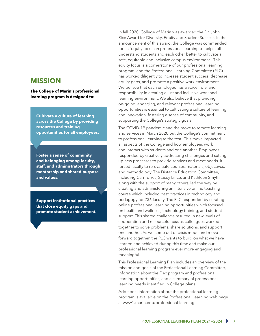### <span id="page-2-0"></span>**MISSION**

**The College of Marin's professional learning program is designed to:**

**Cultivate a culture of learning across the College by providing resources and training opportunities for all employees.** 

**Foster a sense of community and belonging among faculty, staff, and administrators through mentorship and shared purpose and values.** 

**Support institutional practices that close equity gaps and promote student achievement.**

In fall 2020, College of Marin was awarded the Dr. John Rice Award for Diversity, Equity and Student Success. In the announcement of this award, the College was commended for its "equity focus on professional learning to help staff understand students and each other better to cultivate a safe, equitable and inclusive campus environment." This equity focus is a cornerstone of our professional learning program, and the Professional Learning Committee (PLC) has worked diligently to increase student success, decrease equity gaps, and promote a positive work environment. We believe that each employee has a voice, role, and responsibility in creating a just and inclusive work and learning environment. We also believe that providing on-going, engaging, and relevant professional learning opportunities is essential to cultivating a culture of learning and innovation, fostering a sense of community, and supporting the College's strategic goals.

The COVID-19 pandemic and the move to remote learning and services in March 2020 put the College's commitment to professional learning to the test. This move impacted all aspects of the College and how employees work and interact with students and one another. Employees responded by creatively addressing challenges and setting up new processes to provide services and meet needs. It forced faculty to re-evaluate courses, materials, objectives, and methodology. The Distance Education Committee, including Cari Torres, Stacey Lince, and Kathleen Smyth, along with the support of many others, led the way by creating and administering an intensive online teaching course which included best practices in technology and pedagogy for 236 faculty. The PLC responded by curating online professional learning opportunities which focused on health and wellness, technology training, and student support. This shared challenge resulted in new levels of cooperation and resourcefulness as colleagues worked together to solve problems, share solutions, and support one another. As we come out of crisis mode and move forward together, the PLC wants to build on what we have learned and achieved during this time and make our professional learning program ever more engaging and meaningful.

This Professional Learning Plan includes an overview of the mission and goals of the Professional Learning Committee, information about the Flex program and professional learning opportunities, and a summary of professional learning needs identified in College plans.

Additional information about the professional learning program is available on the Professional Learning web page at www1.marin.edu/professional-learning.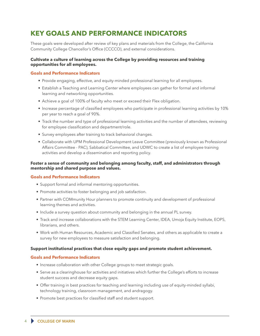# <span id="page-3-0"></span>**KEY GOALS AND PERFORMANCE INDICATORS**

These goals were developed after review of key plans and materials from the College, the California Community College Chancellor's Office (CCCCO), and external considerations.

### **Cultivate a culture of learning across the College by providing resources and training opportunities for all employees.**

### **Goals and Performance Indicators**

- Provide engaging, effective, and equity-minded professional learning for all employees.
- Establish a Teaching and Learning Center where employees can gather for formal and informal learning and networking opportunities.
- Achieve a goal of 100% of faculty who meet or exceed their Flex obligation.
- Increase percentage of classified employees who participate in professional learning activities by 10% per year to reach a goal of 90%.
- Track the number and type of professional learning activities and the number of attendees, reviewing for employee classification and department/role.
- Survey employees after training to track behavioral changes.
- Collaborate with UPM Professional Development Leave Committee (previously known as Professional Affairs Committee - PAC), Sabbatical Committee, and UDWC to create a list of employee training activities and develop a dissemination and reporting policy.

### **Foster a sense of community and belonging among faculty, staff, and administrators through mentorship and shared purpose and values.**

### **Goals and Performance Indicators**

- Support formal and informal mentoring opportunities.
- Promote activities to foster belonging and job satisfaction.
- Partner with COMmunity Hour planners to promote continuity and development of professional learning themes and activities.
- Include a survey question about community and belonging in the annual PL survey.
- Track and increase collaborations with the STEM Learning Center, IDEA, Umoja Equity Institute, EOPS, librarians, and others.
- Work with Human Resources, Academic and Classified Senates, and others as applicable to create a survey for new employees to measure satisfaction and belonging.

### **Support institutional practices that close equity gaps and promote student achievement.**

#### **Goals and Performance Indicators**

- Increase collaboration with other College groups to meet strategic goals.
- Serve as a clearinghouse for activities and initiatives which further the College's efforts to increase student success and decrease equity gaps.
- Offer training in best practices for teaching and learning including use of equity-minded syllabi, technology training, classroom management, and andragogy.
- Promote best practices for classified staff and student support.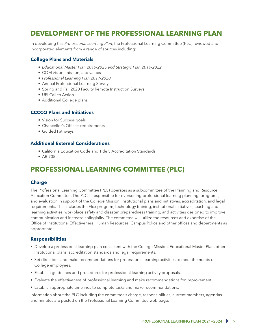# <span id="page-4-0"></span>**DEVELOPMENT OF THE PROFESSIONAL LEARNING PLAN**

In developing this *Professional Learning Plan*, the Professional Learning Committee (PLC) reviewed and incorporated elements from a range of sources including:

### **College Plans and Materials**

- *Educational Master Plan 2019-2025 and Strategic Plan 2019-2022*
- COM vision, mission, and values
- *Professional Learning Plan 2017-2020*
- Annual Professional Learning Survey
- Spring and Fall 2020 Faculty Remote Instruction Surveys
- UEI Call to Action
- Additional College plans

### **CCCCO Plans and Initiatives**

- Vision for Success goals
- Chancellor's Office's requirements
- Guided Pathways

### **Additional External Considerations**

- California Education Code and Title 5 Accreditation Standards
- AB 705

# **PROFESSIONAL LEARNING COMMITTEE (PLC)**

### **Charge**

The Professional Learning Committee (PLC) operates as a subcommittee of the Planning and Resource Allocation Committee. The PLC is responsible for overseeing professional learning planning, programs, and evaluation in support of the College Mission, institutional plans and initiatives, accreditation, and legal requirements. This includes the Flex program, technology training, institutional initiatives, teaching and learning activities, workplace safety and disaster preparedness training, and activities designed to improve communication and increase collegiality. The committee will utilize the resources and expertise of the Office of Institutional Effectiveness, Human Resources, Campus Police and other offices and departments as appropriate.

### **Responsibilities**

- Develop a professional learning plan consistent with the College Mission, Educational Master Plan, other institutional plans, accreditation standards and legal requirements.
- Set directions and make recommendations for professional learning activities to meet the needs of College employees.
- Establish guidelines and procedures for professional learning activity proposals.
- Evaluate the effectiveness of professional learning and make recommendations for improvement.
- Establish appropriate timelines to complete tasks and make recommendations.

Information about the PLC including the committee's charge, responsibilities, current members, agendas, and minutes are posted on the Professional Learning Committee web page.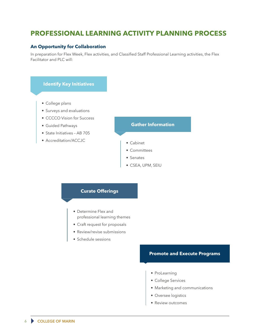# <span id="page-5-0"></span>**PROFESSIONAL LEARNING ACTIVITY PLANNING PROCESS**

### **An Opportunity for Collaboration**

In preparation for Flex Week, Flex activities, and Classified Staff Professional Learning activities, the Flex Facilitator and PLC will:

### **Identify Key Initiatives**

- College plans
- Surveys and evaluations
- CCCCO Vision for Success
- Guided Pathways
- State Initiatives AB 705
- Accreditation/ACCJC

### **Gather Information**

- Cabinet
- Committees
- Senates
- CSEA, UPM, SEIU

### **Curate Offerings**

- Determine Flex and professional learning themes
- Craft request for proposals
- Review/revise submissions
- Schedule sessions

### **Promote and Execute Programs**

- ProLearning
- College Services
- Marketing and communications
- Oversee logistics
- Review outcomes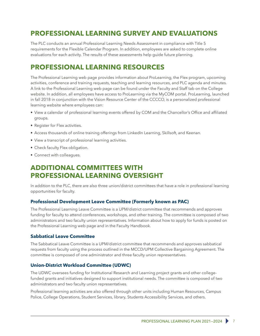# <span id="page-6-0"></span>**PROFESSIONAL LEARNING SURVEY AND EVALUATIONS**

The PLC conducts an annual Professional Learning Needs Assessment in compliance with Title 5 requirements for the Flexible Calendar Program. In addition, employees are asked to complete online evaluations for each activity. The results of these assessments help guide future planning.

### **PROFESSIONAL LEARNING RESOURCES**

The Professional Learning web page provides information about ProLearning, the Flex program, upcoming activities, conference and training requests, teaching and learning resources, and PLC agenda and minutes. A link to the Professional Learning web page can be found under the Faculty and Staff tab on the College website. In addition, all employees have access to ProLearning via the MyCOM portal. ProLearning, launched in fall 2018 in conjunction with the Vision Resource Center of the CCCCO, is a personalized professional learning website where employees can:

- View a calendar of professional learning events offered by COM and the Chancellor's Office and affiliated groups.
- Register for Flex activities.
- Access thousands of online training offerings from LinkedIn Learning, Skillsoft, and Keenan.
- View a transcript of professional learning activities.
- Check faculty Flex obligation.
- Connect with colleagues.

### **ADDITIONAL COMMITTEES WITH PROFESSIONAL LEARNING OVERSIGHT**

In addition to the PLC, there are also three union/district committees that have a role in professional learning opportunities for faculty.

### **Professional Development Leave Committee (Formerly known as PAC)**

The Professional Learning Leave Committee is a UPM/district committee that recommends and approves funding for faculty to attend conferences, workshops, and other training. The committee is composed of two administrators and two faculty union representatives. Information about how to apply for funds is posted on the Professional Learning web page and in the Faculty Handbook.

### **Sabbatical Leave Committee**

The Sabbatical Leave Committee is a UPM/district committee that recommends and approves sabbatical requests from faculty using the process outlined in the MCCD/UPM Collective Bargaining Agreement. The committee is composed of one administrator and three faculty union representatives.

### **Union-District Workload Committee (UDWC)**

The UDWC oversees funding for Institutional Research and Learning project grants and other collegefunded grants and initiatives designed to support institutional needs. The committee is composed of two administrators and two faculty union representatives.

Professional learning activities are also offered through other units including Human Resources, Campus Police, College Operations, Student Services, library, Students Accessibility Services, and others.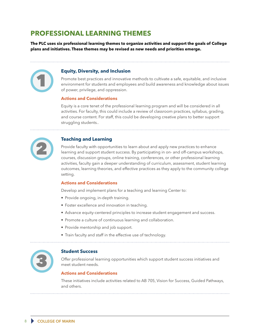# <span id="page-7-0"></span>**PROFESSIONAL LEARNING THEMES**

**The PLC uses six professional learning themes to organize activities and support the goals of College plans and initiatives. These themes may be revised as new needs and priorities emerge.**

### **Equity, Diversity, and Inclusion**

Promote best practices and innovative methods to cultivate a safe, equitable, and inclusive environment for students and employees and build awareness and knowledge about issues of power, privilege, and oppression.

### **Actions and Considerations**

Equity is a core tenet of the professional learning program and will be considered in all activities. For faculty, this could include a review of classroom practices, syllabus, grading, and course content. For staff, this could be developing creative plans to better support struggling students..



1

### **Teaching and Learning**

Provide faculty with opportunities to learn about and apply new practices to enhance learning and support student success. By participating in on- and off-campus workshops, courses, discussion groups, online training, conferences, or other professional learning activities, faculty gain a deeper understanding of curriculum, assessment, student learning outcomes, learning theories, and effective practices as they apply to the community college setting.

#### **Actions and Considerations**

Develop and implement plans for a teaching and learning Center to:

- Provide ongoing, in-depth training.
- Foster excellence and innovation in teaching.
- Advance equity-centered principles to increase student engagement and success.
- Promote a culture of continuous learning and collaboration.
- Provide mentorship and job support.
- Train faculty and staff in the effective use of technology.



### **Student Success**

Offer professional learning opportunities which support student success initiatives and meet student needs.

### **Actions and Considerations**

These initiatives include activities related to AB 705, Vision for Success, Guided Pathways, and others.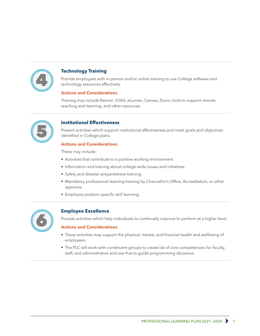

### **Technology Training**

Provide employees with in-person and/or online training to use College software and technology resources effectively.

### **Actions and Considerations**

Training may include Banner, O365, eLumen, Canvas, Zoom, tools to support remote teaching and learning, and other resources.

### **Institutional Effectiveness**

Present activities which support institutional effectiveness and meet goals and objectives identified in College plans.

### **Actions and Considerations**

These may include:

- Activities that contribute to a positive working environment.
- Information and training about college-wide issues and initiatives.
- Safety and disaster preparedness training.
- Mandatory professional learning training by Chancellor's Office, Accreditation, or other agencies.
- Employee position-specific skill learning.



### **Employee Excellence**

Provide activities which help individuals to continually improve to perform at a higher level.

### **Actions and Considerations**

- These activities may support the physical, mental, and financial health and wellbeing of employees.
- The PLC will work with constituent groups to create list of core competencies for faculty, staff, and administrators and use that to guide programming decisions.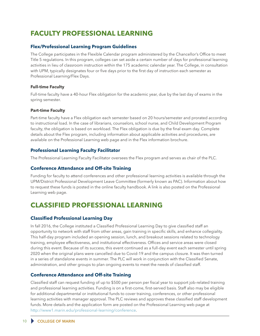# <span id="page-9-0"></span>**FACULTY PROFESSIONAL LEARNING**

### **Flex/Professional Learning Program Guidelines**

The College participates in the Flexible Calendar program administered by the Chancellor's Office to meet Title 5 regulations. In this program, colleges can set aside a certain number of days for professional learning activities in lieu of classroom instruction within the 175 academic calendar year. The College, in consultation with UPM, typically designates four or five days prior to the first day of instruction each semester as Professional Learning/Flex Days.

### **Full-time Faculty**

Full-time faculty have a 40-hour Flex obligation for the academic year, due by the last day of exams in the spring semester.

### **Part-time Faculty**

Part-time faculty have a Flex obligation each semester based on 20 hours/semester and prorated according to instructional load. In the case of librarians, counselors, school nurse, and Child Development Program faculty, the obligation is based on workload. The Flex obligation is due by the final exam day. Complete details about the Flex program, including information about applicable activities and procedures, are available on the Professional Learning web page and in the Flex information brochure.

### **Professional Learning Faculty Facilitator**

The Professional Learning Faculty Facilitator oversees the Flex program and serves as chair of the PLC.

### **Conference Attendance and Off-site Training**

Funding for faculty to attend conferences and other professional learning activities is available through the UPM/District Professional Development Leave Committee (formerly known as PAC). Information about how to request these funds is posted in the online faculty handbook. A link is also posted on the Professional Learning web page.

### **CLASSIFIED PROFESSIONAL LEARNING**

### **Classified Professional Learning Day**

In fall 2016, the College instituted a Classified Professional Learning Day to give classified staff an opportunity to network with staff from other areas, gain training in specific skills, and enhance collegiality. This half-day program included an opening session, lunch, and breakout sessions related to technology training, employee effectiveness, and institutional effectiveness. Offices and service areas were closed during this event. Because of its success, this event continued as a full-day event each semester until spring 2020 when the original plans were cancelled due to Covid-19 and the campus closure. It was then turned in a series of standalone events in summer. The PLC will work in conjunction with the Classified Senate, administration, and other groups to plan ongoing events to meet the needs of classified staff.

### **Conference Attendance and Off-site Training**

Classified staff can request funding of up to \$500 per person per fiscal year to support job-related training and professional learning activities. Funding is on a first-come, first-served basis. Staff also may be eligible for additional departmental or institutional funds to cover training, conferences, or other professional learning activities with manager approval. The PLC reviews and approves these classified staff development funds. More details and the application form are posted on the Professional Learning web page at <http://www1.marin.edu/professional-learning/conference>.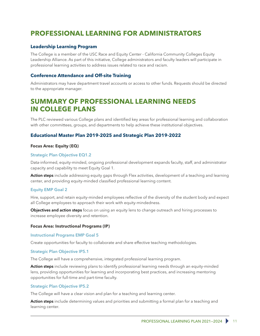# <span id="page-10-0"></span>**PROFESSIONAL LEARNING FOR ADMINISTRATORS**

### **Leadership Learning Program**

The College is a member of the USC Race and Equity Center - California Community Colleges Equity Leadership Alliance. As part of this initiative, College administrators and faculty leaders will participate in professional learning activities to address issues related to race and racism.

### **Conference Attendance and Off-site Training**

Administrators may have department travel accounts or access to other funds. Requests should be directed to the appropriate manager.

### **SUMMARY OF PROFESSIONAL LEARNING NEEDS IN COLLEGE PLANS**

The PLC reviewed various College plans and identified key areas for professional learning and collaboration with other committees, groups, and departments to help achieve these institutional objectives.

### **Educational Master Plan 2019-2025 and Strategic Plan 2019-2022**

#### **[Focus Area: Equity](http://prie.marin.edu/emp/progress/equity) (EQ)**

### [Strategic Plan Objective EQ1.2](http://prie.marin.edu/emp/progress/equity/goal1)

Data-informed, equity-minded, ongoing professional development expands faculty, staff, and administrator capacity and capability to meet Equity Goal 1.

Action steps include addressing equity gaps through Flex activities, development of a teaching and learning center, and providing equity-minded classified professional learning content.

#### [Equity EMP Goal 2](http://prie.marin.edu/emp/progress/equity/goal2)

Hire, support, and retain equity-minded employees reflective of the diversity of the student body and expect all College employees to approach their work with equity-mindedness.

Objectives and action steps focus on using an equity lens to change outreach and hiring processes to increase employee diversity and retention.

#### **[Focus Area: Instructional Programs](http://prie.marin.edu/emp/progress/ip) (IP)**

#### [Instructional Programs EMP Goal 5](http://prie.marin.edu/emp/progress/ip/goal5)

Create opportunities for faculty to collaborate and share effective teaching methodologies.

#### [Strategic Plan Objective IP5.1](http://prie.marin.edu/emp/progress/ip/goal5)

The College will have a comprehensive, integrated professional learning program.

Action steps include reviewing plans to identify professional learning needs through an equity-minded lens, providing opportunities for learning and incorporating best practices, and increasing mentoring opportunities for full-time and part-time faculty.

#### [Strategic Plan Objective IP5.2](http://prie.marin.edu/emp/progress/ip/goal5)

The College will have a clear vision and plan for a teaching and learning center.

Action steps include determining values and priorities and submitting a formal plan for a teaching and learning center.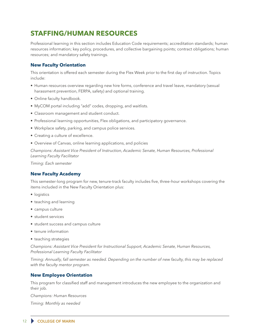# <span id="page-11-0"></span>**STAFFING/HUMAN RESOURCES**

Professional learning in this section includes Education Code requirements; accreditation standards; human resources information; key policy, procedures, and collective bargaining points; contract obligations; human resources; and mandatory safety trainings.

### **New Faculty Orientation**

This orientation is offered each semester during the Flex Week prior to the first day of instruction. Topics include:

- Human resources overview regarding new hire forms, conference and travel leave, mandatory (sexual harassment prevention, FERPA, safety) and optional training.
- Online faculty handbook.
- MyCOM portal including "add" codes, dropping, and waitlists.
- Classroom management and student conduct.
- Professional learning opportunities, Flex obligations, and participatory governance.
- Workplace safety, parking, and campus police services.
- Creating a culture of excellence.
- Overview of Canvas, online learning applications, and policies

*Champions: Assistant Vice President of Instruction, Academic Senate, Human Resources, Professional Learning Faculty Facilitator*

*Timing: Each semester*

#### **New Faculty Academy**

This semester-long program for new, tenure-track faculty includes five, three–hour workshops covering the items included in the New Faculty Orientation plus:

- logistics
- teaching and learning
- campus culture
- student services
- student success and campus culture
- tenure information
- teaching strategies

*Champions: Assistant Vice President for Instructional Support, Academic Senate, Human Resources, Professional Learning Faculty Facilitator*

*Timing: Annually, fall semester as needed. Depending on the number of new faculty, this may be replaced with the faculty mentor program.* 

### **New Employee Orientation**

This program for classified staff and management introduces the new employee to the organization and their job.

*Champions: Human Resources Timing: Monthly as needed*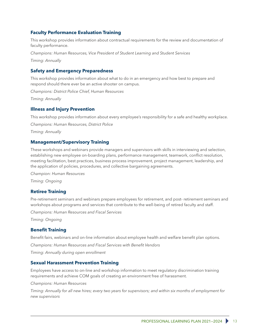### **Faculty Performance Evaluation Training**

This workshop provides information about contractual requirements for the review and documentation of faculty performance.

*Champions: Human Resources, Vice President of Student Learning and Student Services*

*Timing: Annually* 

### **Safety and Emergency Preparedness**

This workshop provides information about what to do in an emergency and how best to prepare and respond should there ever be an active shooter on campus.

*Champions: District Police Chief, Human Resources*

*Timing: Annually*

### **Illness and Injury Prevention**

This workshop provides information about every employee's responsibility for a safe and healthy workplace.

*Champions: Human Resources, District Police*

*Timing: Annually*

### **Management/Supervisory Training**

These workshops and webinars provide managers and supervisors with skills in interviewing and selection, establishing new employee on-boarding plans, performance management, teamwork, conflict resolution, meeting facilitation, best practices, business process improvement, project management, leadership, and the application of policies, procedures, and collective bargaining agreements.

*Champion: Human Resources*

*Timing: Ongoing*

### **Retiree Training**

Pre-retirement seminars and webinars prepare employees for retirement, and post- retirement seminars and workshops about programs and services that contribute to the well-being of retired faculty and staff.

*Champions: Human Resources and Fiscal Services*

*Timing: Ongoing*

### **Benefit Training**

Benefit fairs, webinars and on-line information about employee health and welfare benefit plan options. *Champions: Human Resources and Fiscal Services with Benefit Vendors*

*Timing: Annually during open enrollment*

#### **Sexual Harassment Prevention Training**

Employees have access to on-line and workshop information to meet regulatory discrimination training requirements and achieve COM goals of creating an environment free of harassment.

*Champions: Human Resources*

*Timing: Annually for all new hires; every two years for supervisors; and within six months of employment for new supervisors*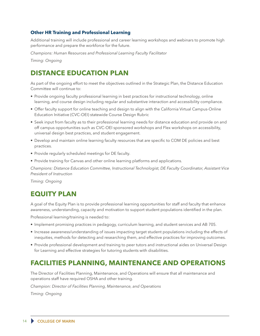### <span id="page-13-0"></span>**Other HR Training and Professional Learning**

Additional training will include professional and career learning workshops and webinars to promote high performance and prepare the workforce for the future.

*Champions: Human Resources and Professional Learning Faculty Facilitator*

*Timing: Ongoing*

### **DISTANCE EDUCATION PLAN**

As part of the ongoing effort to meet the objectives outlined in the Strategic Plan, the Distance Education Committee will continue to:

- Provide ongoing faculty professional learning in best practices for instructional technology, online learning, and course design including regular and substantive interaction and accessibility compliance.
- Offer faculty support for online teaching and design to align with the California Virtual Campus-Online Education Initiative (CVC-OEI) statewide Course Design Rubric
- Seek input from faculty as to their professional learning needs for distance education and provide on and off campus opportunities such as CVC-OEI sponsored workshops and Flex workshops on accessibility, universal design best practices, and student engagement.
- Develop and maintain online learning faculty resources that are specific to COM DE policies and best practices.
- Provide regularly scheduled meetings for DE faculty.
- Provide training for Canvas and other online learning platforms and applications.

*Champions: Distance Education Committee, Instructional Technologist, DE Faculty Coordinator, Assistant Vice President of Instruction*

*Timing: Ongoing*

# **EQUITY PLAN**

A goal of the Equity Plan is to provide professional learning opportunities for staff and faculty that enhance awareness, understanding, capacity and motivation to support student populations identified in the plan.

Professional learning/training is needed to:

- Implement promising practices in pedagogy, curriculum learning, and student services and AB 705.
- Increase awareness/understanding of issues impacting target student populations including the effects of inequities, methods for detecting and researching them, and effective practices for improving outcomes.
- Provide professional development and training to peer tutors and instructional aides on Universal Design for Learning and effective strategies for tutoring students with disabilities.

### **FACILITIES PLANNING, MAINTENANCE AND OPERATIONS**

The Director of Facilities Planning, Maintenance, and Operations will ensure that all maintenance and operations staff have required OSHA and other training.

*Champion: Director of Facilities Planning, Maintenance, and Operations*

*Timing: Ongoing*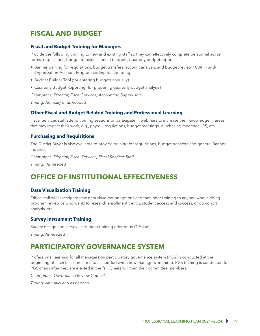# <span id="page-14-0"></span>**FISCAL AND BUDGET**

### **Fiscal and Budget Training for Managers**

Provide the following training to new and existing staff so they can effectively complete personnel action forms, requisitions, budget transfers, annual budgets, quarterly budget reports:

- Banner training for requisitions, budget transfers, account analysis, and budget review FOAP (Fund-Organization-Account-Program coding for spending)
- Budget Builder Tool (for entering budgets annually)
- Quarterly Budget Reporting (for preparing quarterly budget analysis)

*Champions: Director, Fiscal Services; Accounting Supervisors*

*Timing: Annually or as needed*

### **Other Fiscal and Budget Related Training and Professional Learning**

Fiscal Services staff attend training sessions or participate in webinars to increase their knowledge in areas that may impact their work, e.g., payroll, regulations, budget meetings, purchasing meetings, IRS, etc.

### **Purchasing and Requisitions**

The District Buyer is also available to provide training for requisitions, budget transfers and general Banner inquiries.

*Champions: Director, Fiscal Services; Fiscal Services Staff* 

*Timing: As needed*

### **OFFICE OF INSTITUTIONAL EFFECTIVENESS**

#### **Data Visualization Training**

Office staff will investigate new data visualization options and then offer training to anyone who is doing program review or who wants to research enrollment trends, student access and success, or do cohort analysis, etc.

### **Survey Instrument Training**

Survey design and survey instrument training offered by OIE staff.

*Timing: As needed*

### **PARTICIPATORY GOVERNANCE SYSTEM**

Professional learning for all managers on participatory governance system (PGS) is conducted at the beginning of each fall semester and as needed when new managers are hired. PGS training is conducted for PGS chairs after they are elected in the fall. Chairs will train their committee members.

*Champions: Governance Review Council*

*Timing: Annually and as needed*